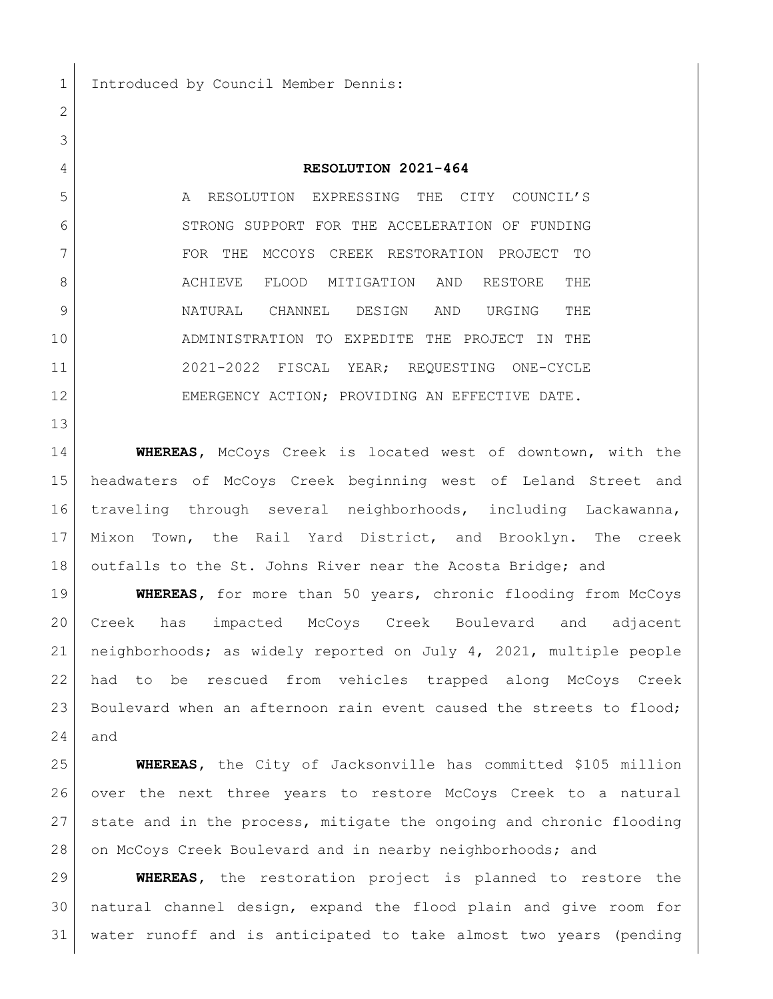## **RESOLUTION 2021-464**

 A RESOLUTION EXPRESSING THE CITY COUNCIL'S 6 STRONG SUPPORT FOR THE ACCELERATION OF FUNDING FOR THE MCCOYS CREEK RESTORATION PROJECT TO 8 ACHIEVE FLOOD MITIGATION AND RESTORE THE NATURAL CHANNEL DESIGN AND URGING THE ADMINISTRATION TO EXPEDITE THE PROJECT IN THE 2021-2022 FISCAL YEAR; REQUESTING ONE-CYCLE 12 EMERGENCY ACTION; PROVIDING AN EFFECTIVE DATE.

 **WHEREAS,** McCoys Creek is located west of downtown, with the headwaters of McCoys Creek beginning west of Leland Street and traveling through several neighborhoods, including Lackawanna, Mixon Town, the Rail Yard District, and Brooklyn. The creek 18 outfalls to the St. Johns River near the Acosta Bridge; and

 **WHEREAS,** for more than 50 years, chronic flooding from McCoys Creek has impacted McCoys Creek Boulevard and adjacent neighborhoods; as widely reported on July 4, 2021, multiple people had to be rescued from vehicles trapped along McCoys Creek 23 Boulevard when an afternoon rain event caused the streets to flood; and

 **WHEREAS,** the City of Jacksonville has committed \$105 million over the next three years to restore McCoys Creek to a natural state and in the process, mitigate the ongoing and chronic flooding 28 on McCoys Creek Boulevard and in nearby neighborhoods; and

 **WHEREAS,** the restoration project is planned to restore the natural channel design, expand the flood plain and give room for water runoff and is anticipated to take almost two years (pending